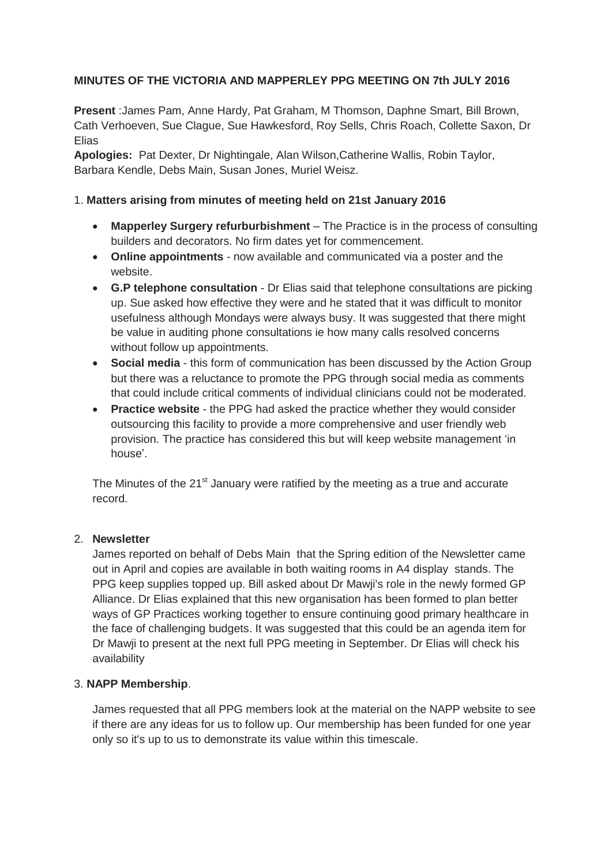## **MINUTES OF THE VICTORIA AND MAPPERLEY PPG MEETING ON 7th JULY 2016**

**Present** :James Pam, Anne Hardy, Pat Graham, M Thomson, Daphne Smart, Bill Brown, Cath Verhoeven, Sue Clague, Sue Hawkesford, Roy Sells, Chris Roach, Collette Saxon, Dr Elias

**Apologies:** Pat Dexter, Dr Nightingale, Alan Wilson,Catherine Wallis, Robin Taylor, Barbara Kendle, Debs Main, Susan Jones, Muriel Weisz.

### 1. **Matters arising from minutes of meeting held on 21st January 2016**

- **Mapperley Surgery refurburbishment** The Practice is in the process of consulting builders and decorators. No firm dates yet for commencement.
- **Online appointments** now available and communicated via a poster and the website.
- **G.P telephone consultation** Dr Elias said that telephone consultations are picking up. Sue asked how effective they were and he stated that it was difficult to monitor usefulness although Mondays were always busy. It was suggested that there might be value in auditing phone consultations ie how many calls resolved concerns without follow up appointments.
- **Social media** this form of communication has been discussed by the Action Group but there was a reluctance to promote the PPG through social media as comments that could include critical comments of individual clinicians could not be moderated.
- **Practice website** the PPG had asked the practice whether they would consider outsourcing this facility to provide a more comprehensive and user friendly web provision. The practice has considered this but will keep website management 'in house'.

The Minutes of the  $21^{st}$  January were ratified by the meeting as a true and accurate record.

### 2. **Newsletter**

James reported on behalf of Debs Main that the Spring edition of the Newsletter came out in April and copies are available in both waiting rooms in A4 display stands. The PPG keep supplies topped up. Bill asked about Dr Mawji's role in the newly formed GP Alliance. Dr Elias explained that this new organisation has been formed to plan better ways of GP Practices working together to ensure continuing good primary healthcare in the face of challenging budgets. It was suggested that this could be an agenda item for Dr Mawji to present at the next full PPG meeting in September. Dr Elias will check his availability

### 3. **NAPP Membership**.

James requested that all PPG members look at the material on the NAPP website to see if there are any ideas for us to follow up. Our membership has been funded for one year only so it's up to us to demonstrate its value within this timescale.